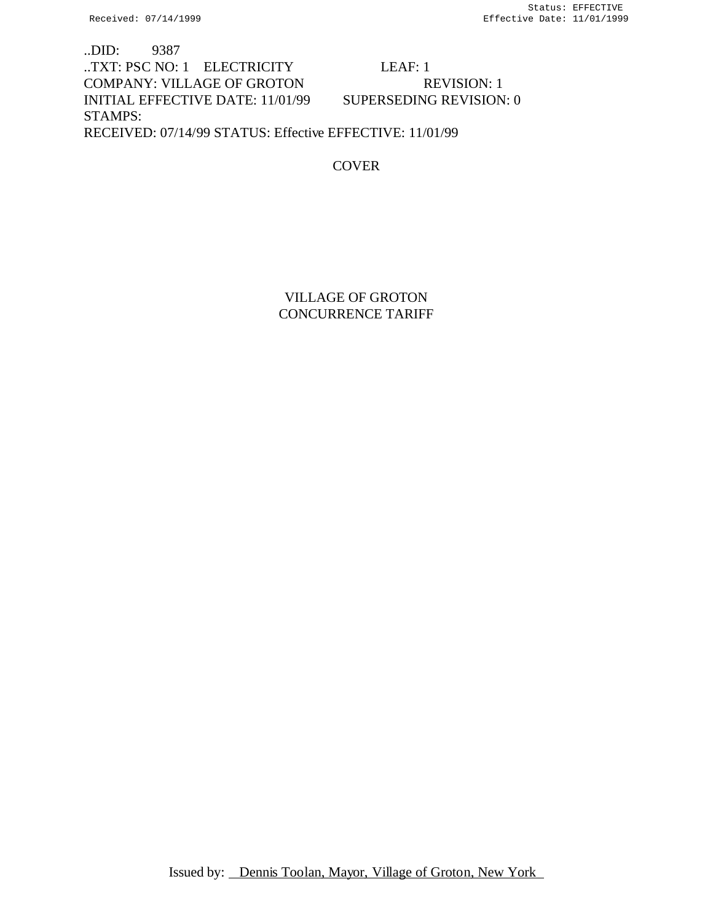..DID: 9387 ..TXT: PSC NO: 1 ELECTRICITY LEAF: 1 COMPANY: VILLAGE OF GROTON REVISION: 1 INITIAL EFFECTIVE DATE: 11/01/99 SUPERSEDING REVISION: 0 STAMPS: RECEIVED: 07/14/99 STATUS: Effective EFFECTIVE: 11/01/99

**COVER** 

VILLAGE OF GROTON CONCURRENCE TARIFF

Issued by: Dennis Toolan, Mayor, Village of Groton, New York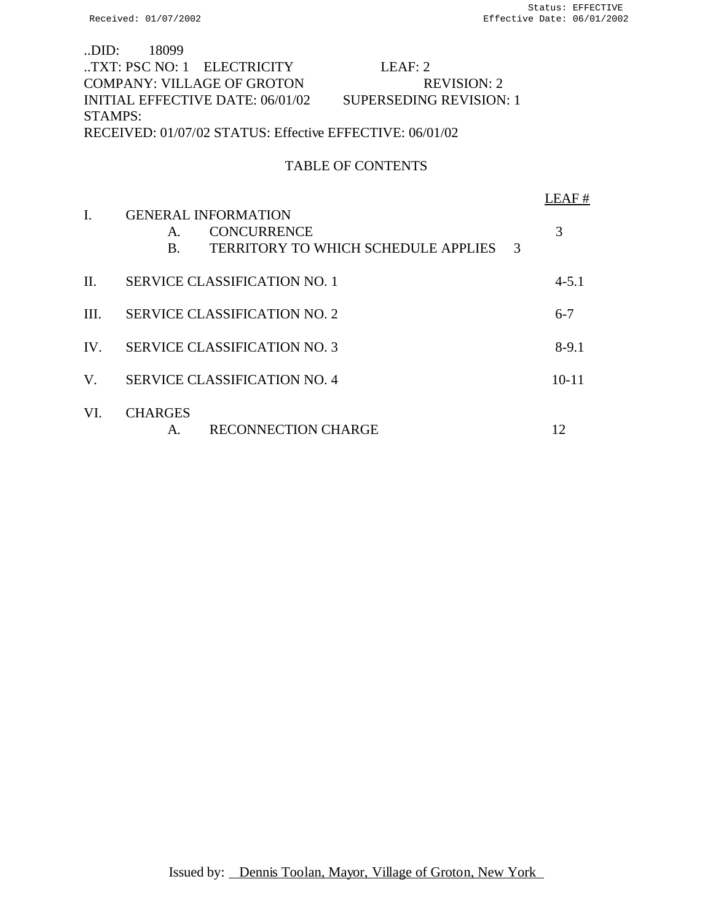| LDID: 18099                                              |  |                                   |                                |  |
|----------------------------------------------------------|--|-----------------------------------|--------------------------------|--|
|                                                          |  | TXT: PSC NO: 1 ELECTRICITY        | LEAF: 2                        |  |
|                                                          |  | <b>COMPANY: VILLAGE OF GROTON</b> | <b>REVISION: 2</b>             |  |
|                                                          |  | INITIAL EFFECTIVE DATE: 06/01/02  | <b>SUPERSEDING REVISION: 1</b> |  |
| STAMPS:                                                  |  |                                   |                                |  |
| RECEIVED: 01/07/02 STATUS: Effective EFFECTIVE: 06/01/02 |  |                                   |                                |  |
|                                                          |  |                                   |                                |  |

# TABLE OF CONTENTS

|         |                                                                                                                 | FAF#      |
|---------|-----------------------------------------------------------------------------------------------------------------|-----------|
| I.      | <b>GENERAL INFORMATION</b><br><b>CONCURRENCE</b><br>A.<br><b>TERRITORY TO WHICH SCHEDULE APPLIES</b><br>3<br>B. | 3         |
| $\Pi$ . | <b>SERVICE CLASSIFICATION NO. 1</b>                                                                             | $4 - 5.1$ |
| III.    | <b>SERVICE CLASSIFICATION NO. 2</b>                                                                             | $6 - 7$   |
| IV.     | <b>SERVICE CLASSIFICATION NO. 3</b>                                                                             | $8-9.1$   |
| V.      | <b>SERVICE CLASSIFICATION NO. 4</b>                                                                             | $10 - 11$ |
| VI.     | <b>CHARGES</b><br><b>RECONNECTION CHARGE</b><br>А.                                                              | 12        |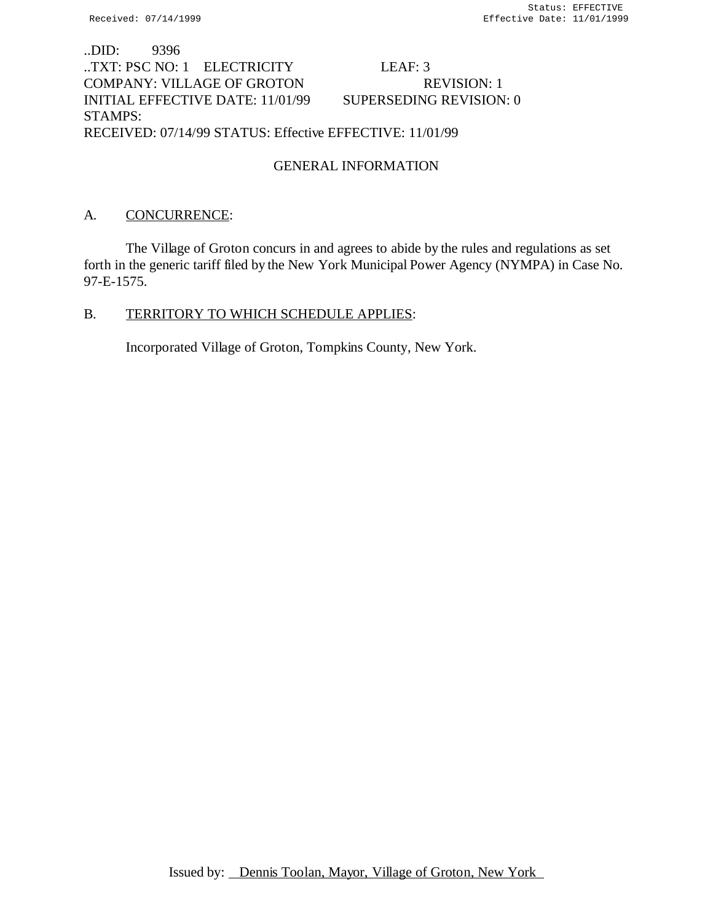# ..DID: 9396 ..TXT: PSC NO: 1 ELECTRICITY LEAF: 3 COMPANY: VILLAGE OF GROTON REVISION: 1 INITIAL EFFECTIVE DATE: 11/01/99 SUPERSEDING REVISION: 0 STAMPS: RECEIVED: 07/14/99 STATUS: Effective EFFECTIVE: 11/01/99

# GENERAL INFORMATION

## A. CONCURRENCE:

The Village of Groton concurs in and agrees to abide by the rules and regulations as set forth in the generic tariff filed by the New York Municipal Power Agency (NYMPA) in Case No. 97-E-1575.

### B. TERRITORY TO WHICH SCHEDULE APPLIES:

Incorporated Village of Groton, Tompkins County, New York.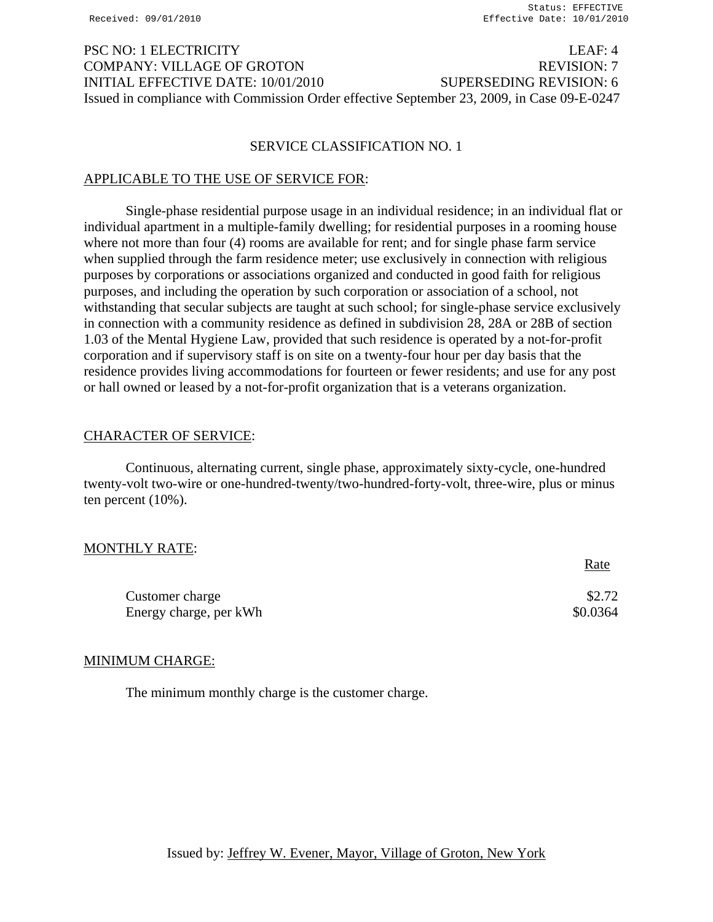# PSC NO: 1 ELECTRICITY LEAF: 4 COMPANY: VILLAGE OF GROTON REVISION: 7 INITIAL EFFECTIVE DATE: 10/01/2010 SUPERSEDING REVISION: 6 Issued in compliance with Commission Order effective September 23, 2009, in Case 09-E-0247

#### SERVICE CLASSIFICATION NO. 1

### APPLICABLE TO THE USE OF SERVICE FOR:

Single-phase residential purpose usage in an individual residence; in an individual flat or individual apartment in a multiple-family dwelling; for residential purposes in a rooming house where not more than four (4) rooms are available for rent; and for single phase farm service when supplied through the farm residence meter; use exclusively in connection with religious purposes by corporations or associations organized and conducted in good faith for religious purposes, and including the operation by such corporation or association of a school, not withstanding that secular subjects are taught at such school; for single-phase service exclusively in connection with a community residence as defined in subdivision 28, 28A or 28B of section 1.03 of the Mental Hygiene Law, provided that such residence is operated by a not-for-profit corporation and if supervisory staff is on site on a twenty-four hour per day basis that the residence provides living accommodations for fourteen or fewer residents; and use for any post or hall owned or leased by a not-for-profit organization that is a veterans organization.

### CHARACTER OF SERVICE:

Continuous, alternating current, single phase, approximately sixty-cycle, one-hundred twenty-volt two-wire or one-hundred-twenty/two-hundred-forty-volt, three-wire, plus or minus ten percent (10%).

#### MONTHLY RATE:

|                        | <u>Rate</u> |
|------------------------|-------------|
| Customer charge        | \$2.72      |
| Energy charge, per kWh | \$0.0364    |

#### MINIMUM CHARGE:

The minimum monthly charge is the customer charge.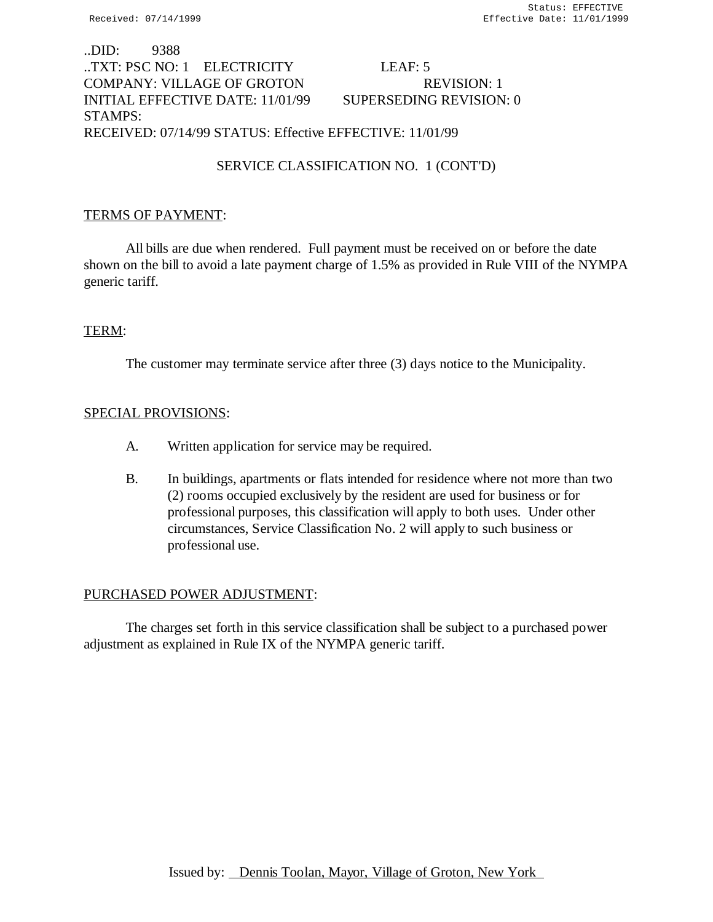# ..DID: 9388 ..TXT: PSC NO: 1 ELECTRICITY LEAF: 5 COMPANY: VILLAGE OF GROTON REVISION: 1 INITIAL EFFECTIVE DATE: 11/01/99 SUPERSEDING REVISION: 0 STAMPS: RECEIVED: 07/14/99 STATUS: Effective EFFECTIVE: 11/01/99

# SERVICE CLASSIFICATION NO. 1 (CONT'D)

## TERMS OF PAYMENT:

All bills are due when rendered. Full payment must be received on or before the date shown on the bill to avoid a late payment charge of 1.5% as provided in Rule VIII of the NYMPA generic tariff.

### TERM:

The customer may terminate service after three (3) days notice to the Municipality.

### SPECIAL PROVISIONS:

- A. Written application for service may be required.
- B. In buildings, apartments or flats intended for residence where not more than two (2) rooms occupied exclusively by the resident are used for business or for professional purposes, this classification will apply to both uses. Under other circumstances, Service Classification No. 2 will apply to such business or professional use.

#### PURCHASED POWER ADJUSTMENT:

The charges set forth in this service classification shall be subject to a purchased power adjustment as explained in Rule IX of the NYMPA generic tariff.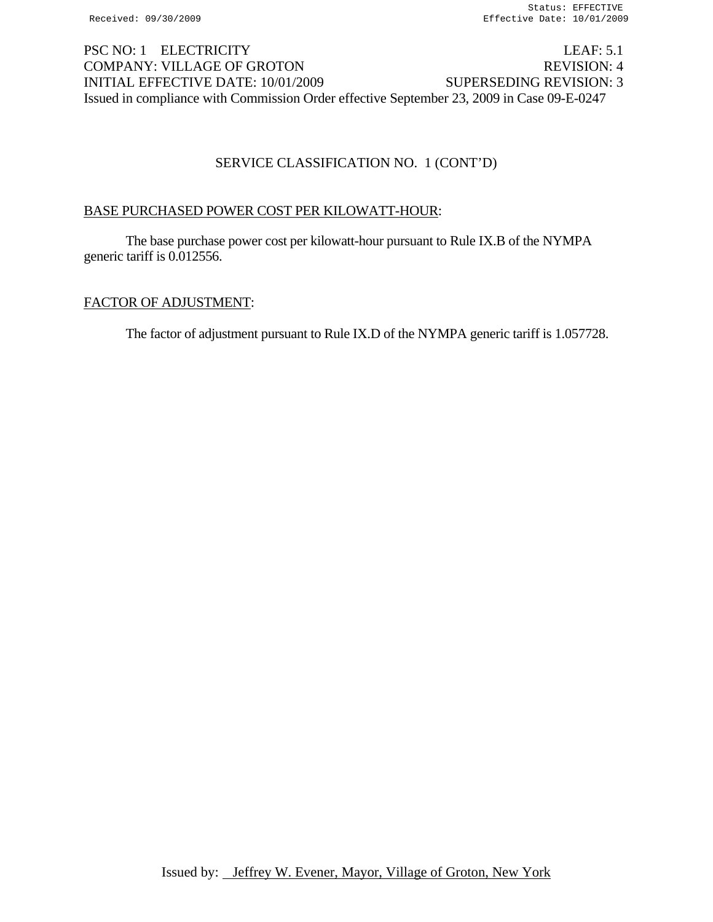# PSC NO: 1 ELECTRICITY LEAF: 5.1 COMPANY: VILLAGE OF GROTON REVISION: 4 INITIAL EFFECTIVE DATE: 10/01/2009 SUPERSEDING REVISION: 3 Issued in compliance with Commission Order effective September 23, 2009 in Case 09-E-0247

# SERVICE CLASSIFICATION NO. 1 (CONT'D)

# BASE PURCHASED POWER COST PER KILOWATT-HOUR:

The base purchase power cost per kilowatt-hour pursuant to Rule IX.B of the NYMPA generic tariff is 0.012556.

# FACTOR OF ADJUSTMENT:

The factor of adjustment pursuant to Rule IX.D of the NYMPA generic tariff is 1.057728.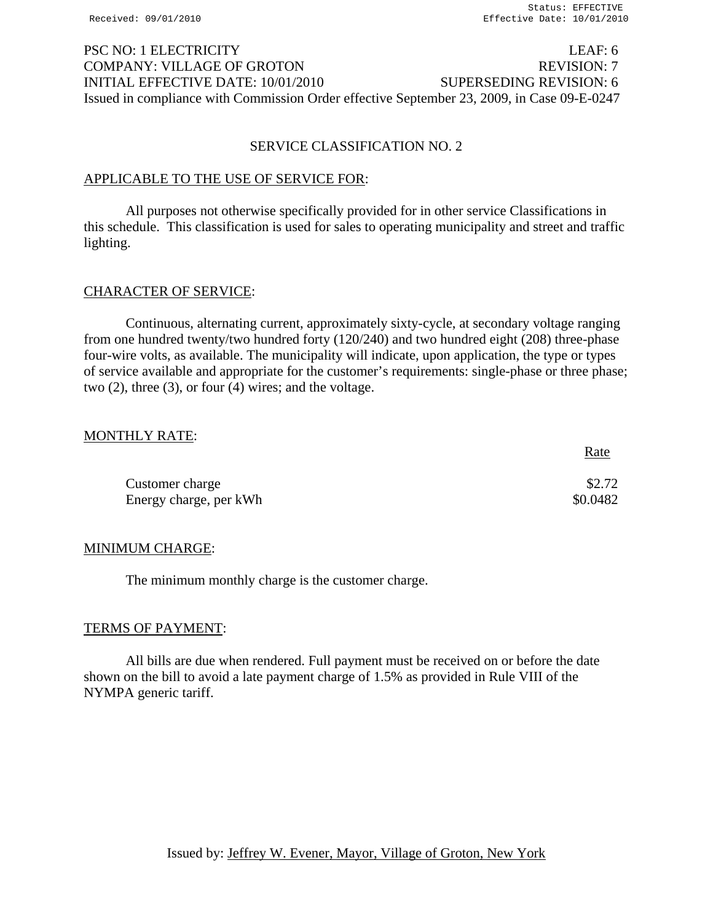# PSC NO: 1 ELECTRICITY LEAF: 6 COMPANY: VILLAGE OF GROTON REVISION: 7 INITIAL EFFECTIVE DATE: 10/01/2010 SUPERSEDING REVISION: 6 Issued in compliance with Commission Order effective September 23, 2009, in Case 09-E-0247

## SERVICE CLASSIFICATION NO. 2

### APPLICABLE TO THE USE OF SERVICE FOR:

All purposes not otherwise specifically provided for in other service Classifications in this schedule. This classification is used for sales to operating municipality and street and traffic lighting.

### CHARACTER OF SERVICE:

Continuous, alternating current, approximately sixty-cycle, at secondary voltage ranging from one hundred twenty/two hundred forty (120/240) and two hundred eight (208) three-phase four-wire volts, as available. The municipality will indicate, upon application, the type or types of service available and appropriate for the customer's requirements: single-phase or three phase; two (2), three (3), or four (4) wires; and the voltage.

### MONTHLY RATE:

|                        | <u>Rate</u> |
|------------------------|-------------|
| Customer charge        | \$2.72      |
| Energy charge, per kWh | \$0.0482    |

## MINIMUM CHARGE:

The minimum monthly charge is the customer charge.

#### TERMS OF PAYMENT:

All bills are due when rendered. Full payment must be received on or before the date shown on the bill to avoid a late payment charge of 1.5% as provided in Rule VIII of the NYMPA generic tariff.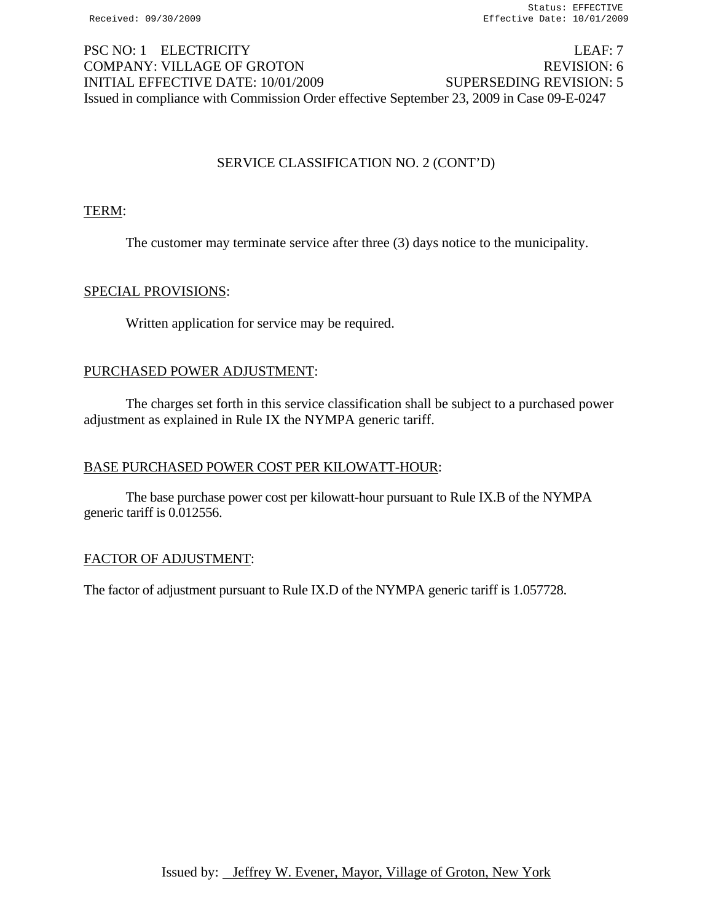# PSC NO: 1 ELECTRICITY LEAF: 7 COMPANY: VILLAGE OF GROTON REVISION: 6 INITIAL EFFECTIVE DATE: 10/01/2009 SUPERSEDING REVISION: 5 Issued in compliance with Commission Order effective September 23, 2009 in Case 09-E-0247

# SERVICE CLASSIFICATION NO. 2 (CONT'D)

## TERM:

The customer may terminate service after three (3) days notice to the municipality.

### SPECIAL PROVISIONS:

Written application for service may be required.

### PURCHASED POWER ADJUSTMENT:

 The charges set forth in this service classification shall be subject to a purchased power adjustment as explained in Rule IX the NYMPA generic tariff.

#### BASE PURCHASED POWER COST PER KILOWATT-HOUR:

The base purchase power cost per kilowatt-hour pursuant to Rule IX.B of the NYMPA generic tariff is 0.012556.

#### FACTOR OF ADJUSTMENT:

The factor of adjustment pursuant to Rule IX.D of the NYMPA generic tariff is 1.057728.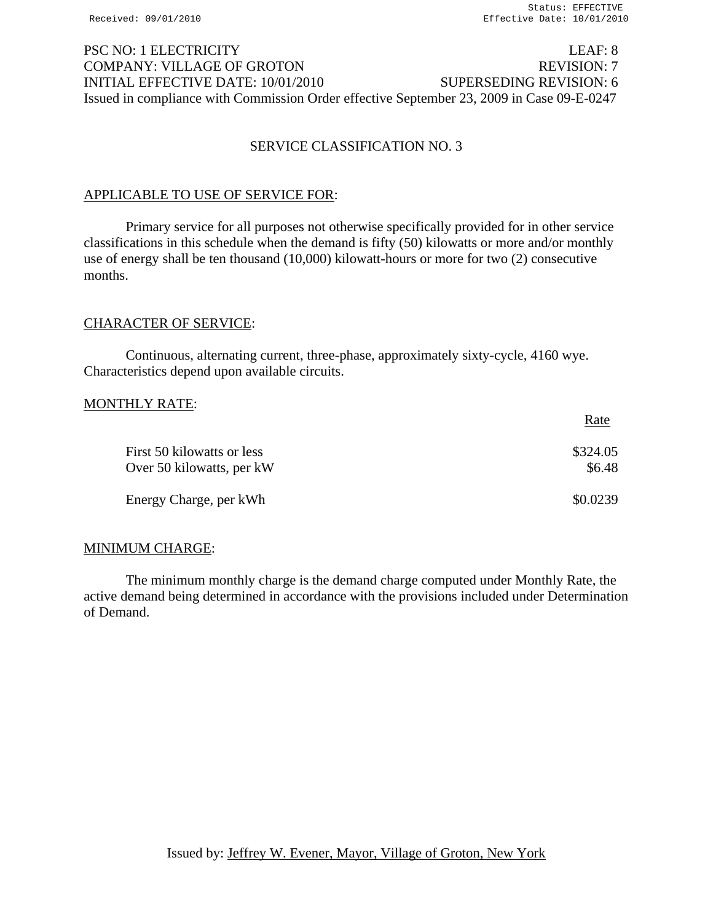# PSC NO: 1 ELECTRICITY LEAF: 8 COMPANY: VILLAGE OF GROTON REVISION: 7 INITIAL EFFECTIVE DATE: 10/01/2010 SUPERSEDING REVISION: 6 Issued in compliance with Commission Order effective September 23, 2009 in Case 09-E-0247

# SERVICE CLASSIFICATION NO. 3

### APPLICABLE TO USE OF SERVICE FOR:

Primary service for all purposes not otherwise specifically provided for in other service classifications in this schedule when the demand is fifty (50) kilowatts or more and/or monthly use of energy shall be ten thousand (10,000) kilowatt-hours or more for two (2) consecutive months.

### CHARACTER OF SERVICE:

Continuous, alternating current, three-phase, approximately sixty-cycle, 4160 wye. Characteristics depend upon available circuits.

### MONTHLY RATE:

|                                                         | Rate               |
|---------------------------------------------------------|--------------------|
| First 50 kilowatts or less<br>Over 50 kilowatts, per kW | \$324.05<br>\$6.48 |
| Energy Charge, per kWh                                  | \$0.0239           |

## MINIMUM CHARGE:

The minimum monthly charge is the demand charge computed under Monthly Rate, the active demand being determined in accordance with the provisions included under Determination of Demand.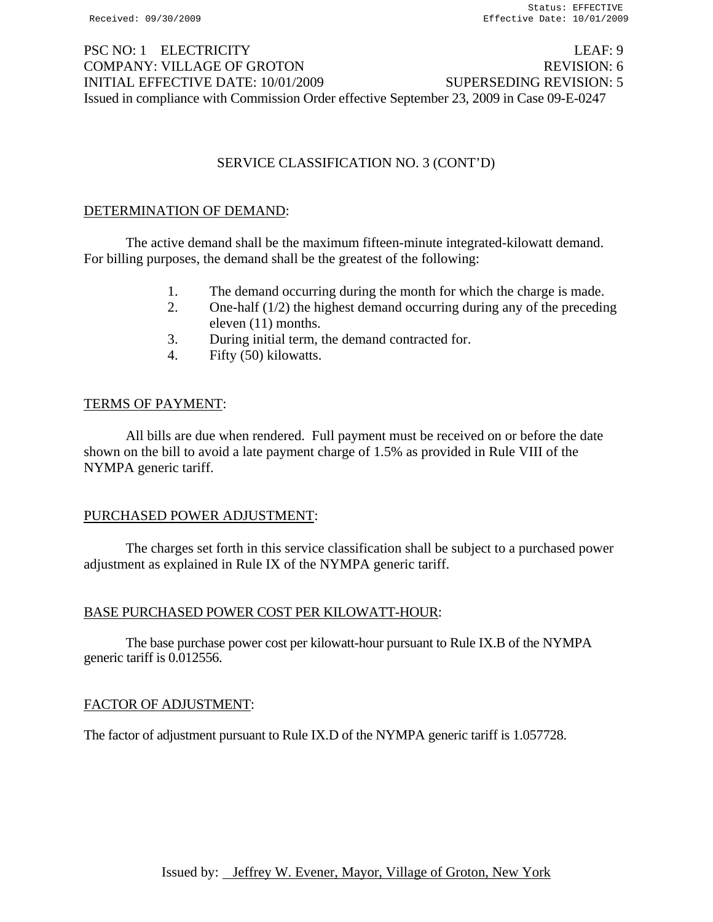# PSC NO: 1 ELECTRICITY LEAF: 9 COMPANY: VILLAGE OF GROTON REVISION: 6 INITIAL EFFECTIVE DATE: 10/01/2009 SUPERSEDING REVISION: 5 Issued in compliance with Commission Order effective September 23, 2009 in Case 09-E-0247

# SERVICE CLASSIFICATION NO. 3 (CONT'D)

## DETERMINATION OF DEMAND:

 The active demand shall be the maximum fifteen-minute integrated-kilowatt demand. For billing purposes, the demand shall be the greatest of the following:

- 1. The demand occurring during the month for which the charge is made.
- 2. One-half (1/2) the highest demand occurring during any of the preceding eleven (11) months.
- 3. During initial term, the demand contracted for.
- 4. Fifty (50) kilowatts.

## TERMS OF PAYMENT:

 All bills are due when rendered. Full payment must be received on or before the date shown on the bill to avoid a late payment charge of 1.5% as provided in Rule VIII of the NYMPA generic tariff.

# PURCHASED POWER ADJUSTMENT:

 The charges set forth in this service classification shall be subject to a purchased power adjustment as explained in Rule IX of the NYMPA generic tariff.

## BASE PURCHASED POWER COST PER KILOWATT-HOUR:

The base purchase power cost per kilowatt-hour pursuant to Rule IX.B of the NYMPA generic tariff is 0.012556.

## FACTOR OF ADJUSTMENT:

The factor of adjustment pursuant to Rule IX.D of the NYMPA generic tariff is 1.057728.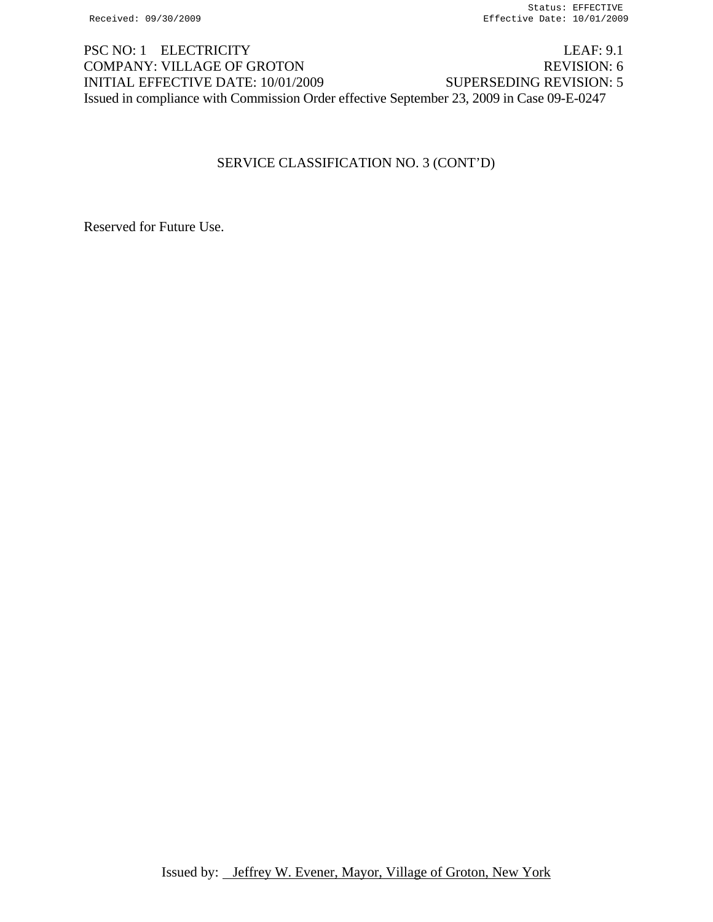PSC NO: 1 ELECTRICITY LEAF: 9.1 COMPANY: VILLAGE OF GROTON REVISION: 6 INITIAL EFFECTIVE DATE: 10/01/2009 SUPERSEDING REVISION: 5 Issued in compliance with Commission Order effective September 23, 2009 in Case 09-E-0247

# SERVICE CLASSIFICATION NO. 3 (CONT'D)

Reserved for Future Use.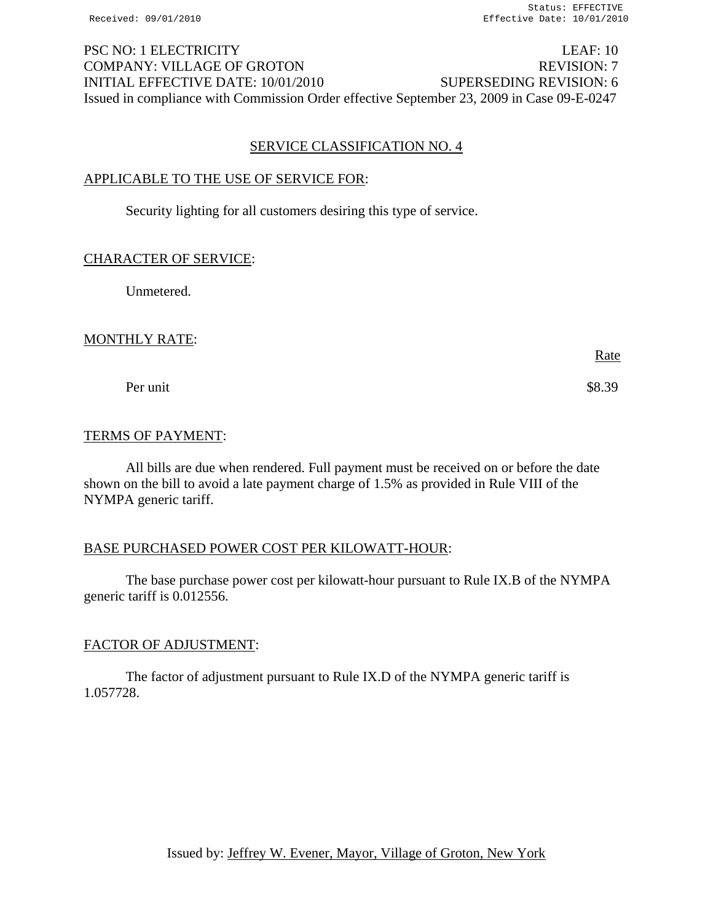PSC NO: 1 ELECTRICITY LEAF: 10 COMPANY: VILLAGE OF GROTON REVISION: 7 INITIAL EFFECTIVE DATE: 10/01/2010 SUPERSEDING REVISION: 6 Issued in compliance with Commission Order effective September 23, 2009 in Case 09-E-0247

### SERVICE CLASSIFICATION NO. 4

### APPLICABLE TO THE USE OF SERVICE FOR:

Security lighting for all customers desiring this type of service.

#### CHARACTER OF SERVICE:

Unmetered.

## MONTHLY RATE:

Per unit \$8.39

## TERMS OF PAYMENT:

All bills are due when rendered. Full payment must be received on or before the date shown on the bill to avoid a late payment charge of 1.5% as provided in Rule VIII of the NYMPA generic tariff.

## BASE PURCHASED POWER COST PER KILOWATT-HOUR:

The base purchase power cost per kilowatt-hour pursuant to Rule IX.B of the NYMPA generic tariff is 0.012556.

## FACTOR OF ADJUSTMENT:

The factor of adjustment pursuant to Rule IX.D of the NYMPA generic tariff is 1.057728.

Rate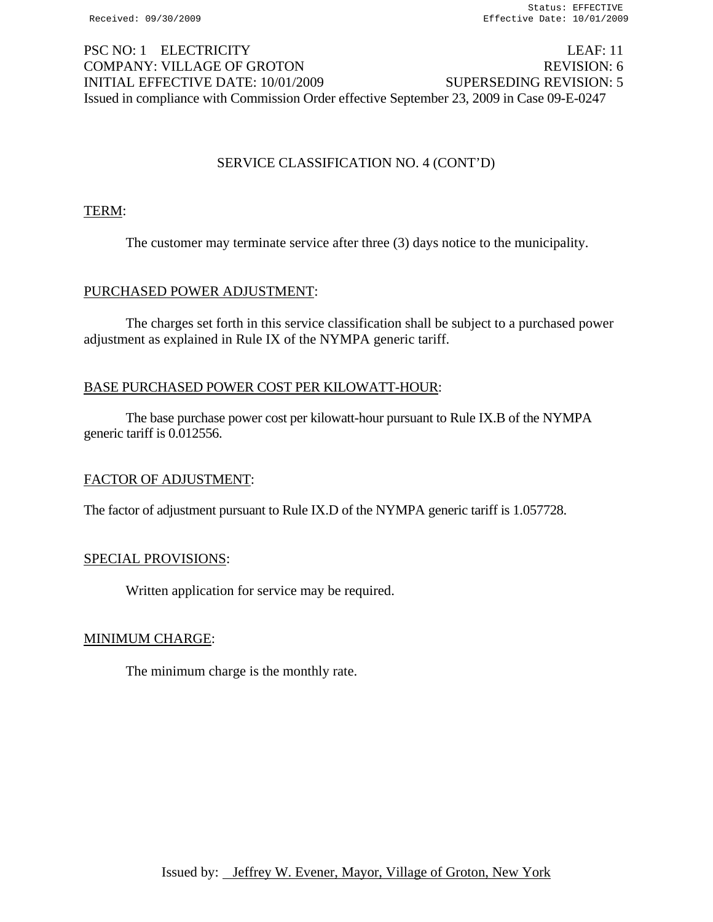# PSC NO: 1 ELECTRICITY LEAF: 11 COMPANY: VILLAGE OF GROTON REVISION: 6 INITIAL EFFECTIVE DATE: 10/01/2009 SUPERSEDING REVISION: 5 Issued in compliance with Commission Order effective September 23, 2009 in Case 09-E-0247

# SERVICE CLASSIFICATION NO. 4 (CONT'D)

## TERM:

The customer may terminate service after three (3) days notice to the municipality.

## PURCHASED POWER ADJUSTMENT:

 The charges set forth in this service classification shall be subject to a purchased power adjustment as explained in Rule IX of the NYMPA generic tariff.

## BASE PURCHASED POWER COST PER KILOWATT-HOUR:

The base purchase power cost per kilowatt-hour pursuant to Rule IX.B of the NYMPA generic tariff is 0.012556.

## FACTOR OF ADJUSTMENT:

The factor of adjustment pursuant to Rule IX.D of the NYMPA generic tariff is 1.057728.

## SPECIAL PROVISIONS:

Written application for service may be required.

## MINIMUM CHARGE:

The minimum charge is the monthly rate.